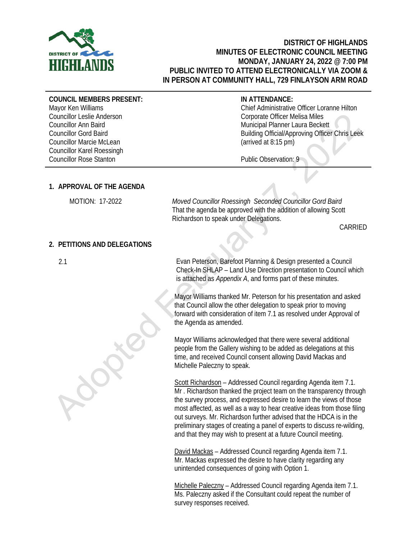

#### **DISTRICT OF HIGHLANDS MINUTES OF ELECTRONIC COUNCIL MEETING MONDAY, JANUARY 24, 2022 @ 7:00 PM PUBLIC INVITED TO ATTEND ELECTRONICALLY VIA ZOOM & IN PERSON AT COMMUNITY HALL, 729 FINLAYSON ARM ROAD**

**COUNCIL MEMBERS PRESENT:**

Mayor Ken Williams Councillor Leslie Anderson Councillor Ann Baird Councillor Gord Baird Councillor Marcie McLean Councillor Karel Roessingh Councillor Rose Stanton

#### **IN ATTENDANCE:**

Chief Administrative Officer Loranne Hilton Corporate Officer Melisa Miles Municipal Planner Laura Beckett Building Official/Approving Officer Chris Leek (arrived at 8:15 pm)

Public Observation: 9

#### **1. APPROVAL OF THE AGENDA**

 MOTION: 17-2022 *Moved Councillor Roessingh Seconded Councillor Gord Baird* That the agenda be approved with the addition of allowing Scott Richardson to speak under Delegations.

CARRIED

#### **2. PETITIONS AND DELEGATIONS**

2.1

Evan Peterson, Barefoot Planning & Design presented a Council Check-In SHLAP – Land Use Direction presentation to Council which is attached as *Appendix A*, and forms part of these minutes.

Mayor Williams thanked Mr. Peterson for his presentation and asked that Council allow the other delegation to speak prior to moving forward with consideration of item 7.1 as resolved under Approval of the Agenda as amended.

Mayor Williams acknowledged that there were several additional people from the Gallery wishing to be added as delegations at this time, and received Council consent allowing David Mackas and Michelle Paleczny to speak.

Scott Richardson – Addressed Council regarding Agenda item 7.1. Mr . Richardson thanked the project team on the transparency through the survey process, and expressed desire to learn the views of those most affected, as well as a way to hear creative ideas from those filing out surveys. Mr. Richardson further advised that the HDCA is in the preliminary stages of creating a panel of experts to discuss re-wilding, and that they may wish to present at a future Council meeting.

David Mackas – Addressed Council regarding Agenda item 7.1. Mr. Mackas expressed the desire to have clarity regarding any unintended consequences of going with Option 1.

Michelle Paleczny – Addressed Council regarding Agenda item 7.1. Ms. Paleczny asked if the Consultant could repeat the number of survey responses received.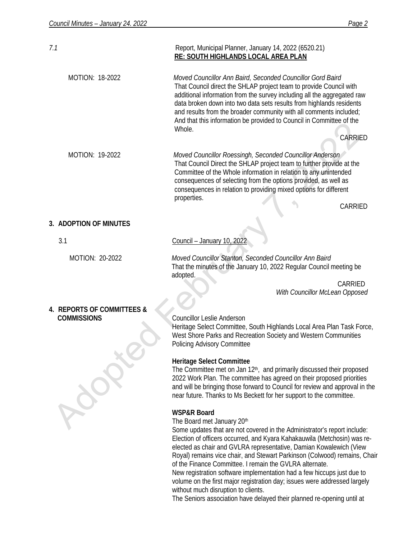| 7.1                                              | Report, Municipal Planner, January 14, 2022 (6520.21)<br>RE: SOUTH HIGHLANDS LOCAL AREA PLAN                                                                                                                                                                                                                                                                                                                                                                                                         |  |  |  |
|--------------------------------------------------|------------------------------------------------------------------------------------------------------------------------------------------------------------------------------------------------------------------------------------------------------------------------------------------------------------------------------------------------------------------------------------------------------------------------------------------------------------------------------------------------------|--|--|--|
| MOTION: 18-2022                                  | Moved Councillor Ann Baird, Seconded Councillor Gord Baird<br>That Council direct the SHLAP project team to provide Council with<br>additional information from the survey including all the aggregated raw<br>data broken down into two data sets results from highlands residents<br>and results from the broader community with all comments included;<br>And that this information be provided to Council in Committee of the<br>Whole.                                                          |  |  |  |
|                                                  | CARRIED                                                                                                                                                                                                                                                                                                                                                                                                                                                                                              |  |  |  |
| MOTION: 19-2022                                  | Moved Councillor Roessingh, Seconded Councillor Anderson<br>That Council Direct the SHLAP project team to further provide at the<br>Committee of the Whole information in relation to any unintended<br>consequences of selecting from the options provided, as well as<br>consequences in relation to providing mixed options for different<br>properties.                                                                                                                                          |  |  |  |
|                                                  | CARRIED                                                                                                                                                                                                                                                                                                                                                                                                                                                                                              |  |  |  |
| 3. ADOPTION OF MINUTES                           |                                                                                                                                                                                                                                                                                                                                                                                                                                                                                                      |  |  |  |
| 3.1                                              | Council - January 10, 2022                                                                                                                                                                                                                                                                                                                                                                                                                                                                           |  |  |  |
| MOTION: 20-2022                                  | Moved Councillor Stanton, Seconded Councillor Ann Baird<br>That the minutes of the January 10, 2022 Regular Council meeting be<br>adopted.<br>CARRIED                                                                                                                                                                                                                                                                                                                                                |  |  |  |
|                                                  | With Councillor McLean Opposed                                                                                                                                                                                                                                                                                                                                                                                                                                                                       |  |  |  |
| 4. REPORTS OF COMMITTEES &<br><b>COMMISSIONS</b> | <b>Councillor Leslie Anderson</b><br>Heritage Select Committee, South Highlands Local Area Plan Task Force,<br>West Shore Parks and Recreation Society and Western Communities<br>Policing Advisory Committee                                                                                                                                                                                                                                                                                        |  |  |  |
|                                                  | <b>Heritage Select Committee</b><br>The Committee met on Jan 12 <sup>th</sup> , and primarily discussed their proposed<br>2022 Work Plan. The committee has agreed on their proposed priorities<br>and will be bringing those forward to Council for review and approval in the<br>near future. Thanks to Ms Beckett for her support to the committee.                                                                                                                                               |  |  |  |
|                                                  | <b>WSP&amp;R Board</b><br>The Board met January 20th<br>Some updates that are not covered in the Administrator's report include:<br>Election of officers occurred, and Kyara Kahakauwila (Metchosin) was re-<br>elected as chair and GVLRA representative, Damian Kowalewich (View<br>Royal) remains vice chair, and Stewart Parkinson (Colwood) remains, Chair<br>of the Finance Committee. I remain the GVLRA alternate.<br>New registration software implementation had a few hiccups just due to |  |  |  |

volume on the first major registration day; issues were addressed largely without much disruption to clients.

The Seniors association have delayed their planned re-opening until at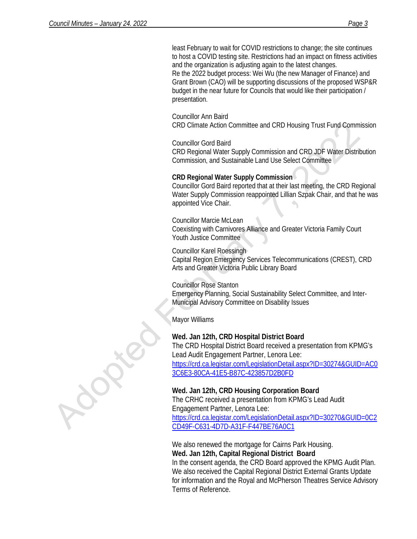least February to wait for COVID restrictions to change; the site continues to host a COVID testing site. Restrictions had an impact on fitness activities and the organization is adjusting again to the latest changes. Re the 2022 budget process: Wei Wu (the new Manager of Finance) and Grant Brown (CAO) will be supporting discussions of the proposed WSP&R budget in the near future for Councils that would like their participation / presentation.

Councillor Ann Baird

CRD Climate Action Committee and CRD Housing Trust Fund Commission

Councillor Gord Baird CRD Regional Water Supply Commission and CRD JDF Water Distribution Commission, and Sustainable Land Use Select Committee

# **CRD Regional Water Supply Commission**

Councillor Gord Baird reported that at their last meeting, the CRD Regional Water Supply Commission reappointed Lillian Szpak Chair, and that he was appointed Vice Chair.

Councillor Marcie McLean Coexisting with Carnivores Alliance and Greater Victoria Family Court Youth Justice Committee

Councillor Karel Roessingh Capital Region Emergency Services Telecommunications (CREST), CRD Arts and Greater Victoria Public Library Board

Councillor Rose Stanton Emergency Planning, Social Sustainability Select Committee, and Inter-Municipal Advisory Committee on Disability Issues

Mayor Williams

## **Wed. Jan 12th, CRD Hospital District Board**

The CRD Hospital District Board received a presentation from KPMG's Lead Audit Engagement Partner, Lenora Lee: [https://crd.ca.legistar.com/LegislationDetail.aspx?ID=30274&GUID=AC0](https://crd.ca.legistar.com/LegislationDetail.aspx?ID=30274&GUID=AC03C6E3-80CA-41E5-B87C-423857D2B0FD)

[3C6E3-80CA-41E5-B87C-423857D2B0FD](https://crd.ca.legistar.com/LegislationDetail.aspx?ID=30274&GUID=AC03C6E3-80CA-41E5-B87C-423857D2B0FD)

## **Wed. Jan 12th, CRD Housing Corporation Board**

The CRHC received a presentation from KPMG's Lead Audit Engagement Partner, Lenora Lee: [https://crd.ca.legistar.com/LegislationDetail.aspx?ID=30270&GUID=0C2](https://crd.ca.legistar.com/LegislationDetail.aspx?ID=30270&GUID=0C2CD49F-C631-4D7D-A31F-F447BE76A0C1) [CD49F-C631-4D7D-A31F-F447BE76A0C1](https://crd.ca.legistar.com/LegislationDetail.aspx?ID=30270&GUID=0C2CD49F-C631-4D7D-A31F-F447BE76A0C1)

We also renewed the mortgage for Cairns Park Housing. **Wed. Jan 12th, Capital Regional District Board**

In the consent agenda, the CRD Board approved the KPMG Audit Plan. We also received the Capital Regional District External Grants Update for information and the Royal and McPherson Theatres Service Advisory Terms of Reference.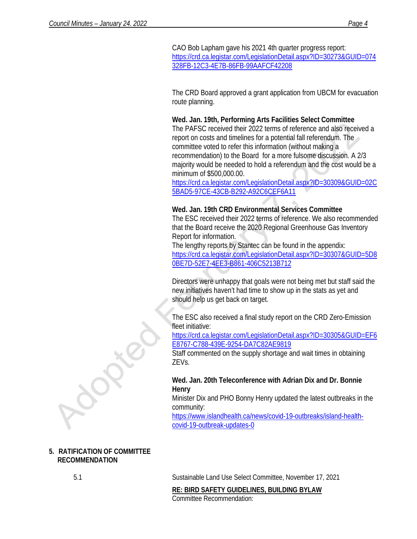CAO Bob Lapham gave his 2021 4th quarter progress report: [https://crd.ca.legistar.com/LegislationDetail.aspx?ID=30273&GUID=074](https://crd.ca.legistar.com/LegislationDetail.aspx?ID=30273&GUID=074328FB-12C3-4E7B-86FB-99AAFCF42208) [328FB-12C3-4E7B-86FB-99AAFCF42208](https://crd.ca.legistar.com/LegislationDetail.aspx?ID=30273&GUID=074328FB-12C3-4E7B-86FB-99AAFCF42208)

The CRD Board approved a grant application from UBCM for evacuation route planning.

#### **Wed. Jan. 19th, Performing Arts Facilities Select Committee**

The PAFSC received their 2022 terms of reference and also received a report on costs and timelines for a potential fall referendum. The committee voted to refer this information (without making a recommendation) to the Board for a more fulsome discussion. A 2/3 majority would be needed to hold a referendum and the cost would be a minimum of \$500,000.00.

[https://crd.ca.legistar.com/LegislationDetail.aspx?ID=30309&GUID=02C](https://crd.ca.legistar.com/LegislationDetail.aspx?ID=30309&GUID=02C5BAD5-97CE-43CB-B292-A92C6CEF6A11) [5BAD5-97CE-43CB-B292-A92C6CEF6A11](https://crd.ca.legistar.com/LegislationDetail.aspx?ID=30309&GUID=02C5BAD5-97CE-43CB-B292-A92C6CEF6A11)

#### **Wed. Jan. 19th CRD Environmental Services Committee**

The ESC received their 2022 terms of reference. We also recommended that the Board receive the 2020 Regional Greenhouse Gas Inventory Report for information.

The lengthy reports by Stantec can be found in the appendix: [https://crd.ca.legistar.com/LegislationDetail.aspx?ID=30307&GUID=5D8](https://crd.ca.legistar.com/LegislationDetail.aspx?ID=30307&GUID=5D80BE7D-52E7-4EE3-B861-406C5213B712) [0BE7D-52E7-4EE3-B861-406C5213B712](https://crd.ca.legistar.com/LegislationDetail.aspx?ID=30307&GUID=5D80BE7D-52E7-4EE3-B861-406C5213B712)

Directors were unhappy that goals were not being met but staff said the new initiatives haven't had time to show up in the stats as yet and should help us get back on target.

The ESC also received a final study report on the CRD Zero-Emission fleet initiative:

[https://crd.ca.legistar.com/LegislationDetail.aspx?ID=30305&GUID=EF6](https://crd.ca.legistar.com/LegislationDetail.aspx?ID=30305&GUID=EF6E8767-C788-439E-9254-DA7C82AE9819) [E8767-C788-439E-9254-DA7C82AE9819](https://crd.ca.legistar.com/LegislationDetail.aspx?ID=30305&GUID=EF6E8767-C788-439E-9254-DA7C82AE9819)

Staff commented on the supply shortage and wait times in obtaining ZEVs.

## **Wed. Jan. 20th Teleconference with Adrian Dix and Dr. Bonnie Henry**

Minister Dix and PHO Bonny Henry updated the latest outbreaks in the community:

[https://www.islandhealth.ca/news/covid-19-outbreaks/island-health](https://www.islandhealth.ca/news/covid-19-outbreaks/island-health-covid-19-outbreak-updates-0)[covid-19-outbreak-updates-0](https://www.islandhealth.ca/news/covid-19-outbreaks/island-health-covid-19-outbreak-updates-0)

#### **5. RATIFICATION OF COMMITTEE RECOMMENDATION**

5.1 Sustainable Land Use Select Committee, November 17, 2021

**RE: BIRD SAFETY GUIDELINES, BUILDING BYLAW**  Committee Recommendation: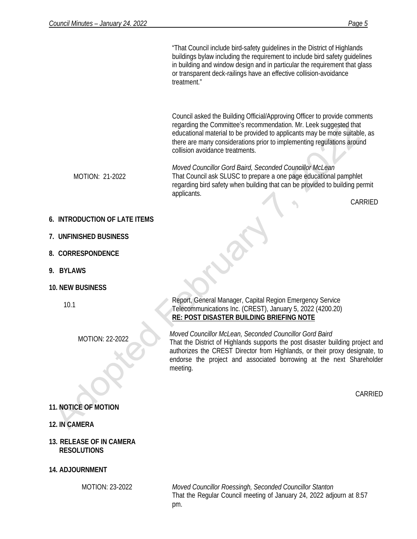"That Council include bird-safety guidelines in the District of Highlands buildings bylaw including the requirement to include bird safety guidelines in building and window design and in particular the requirement that glass or transparent deck-railings have an effective collision-avoidance treatment."

Council asked the Building Official/Approving Officer to provide comments regarding the Committee's recommendation. Mr. Leek suggested that educational material to be provided to applicants may be more suitable, as there are many considerations prior to implementing regulations around collision avoidance treatments.

MOTION: 21-2022 *Moved Councillor Gord Baird, Seconded Councillor McLean* That Council ask SLUSC to prepare a one page educational pamphlet regarding bird safety when building that can be provided to building permit applicants.

CARRIED

## **6. INTRODUCTION OF LATE ITEMS**

- **7. UNFINISHED BUSINESS**
- **8. CORRESPONDENCE**
- **9. BYLAWS**
- **10. NEW BUSINESS**

10.1

MOTION: 22-2022

# **11. NOTICE OF MOTION**

**12. IN CAMERA**

#### **13. RELEASE OF IN CAMERA RESOLUTIONS**

**14. ADJOURNMENT**

Report, General Manager, Capital Region Emergency Service Telecommunications Inc. (CREST), January 5, 2022 (4200.20) **RE: POST DISASTER BUILDING BRIEFING NOTE**

*Moved Councillor McLean, Seconded Councillor Gord Baird* That the District of Highlands supports the post disaster building project and authorizes the CREST Director from Highlands, or their proxy designate, to endorse the project and associated borrowing at the next Shareholder meeting.

CARRIED

MOTION: 23-2022 *Moved Councillor Roessingh, Seconded Councillor Stanton* That the Regular Council meeting of January 24, 2022 adjourn at 8:57 pm.